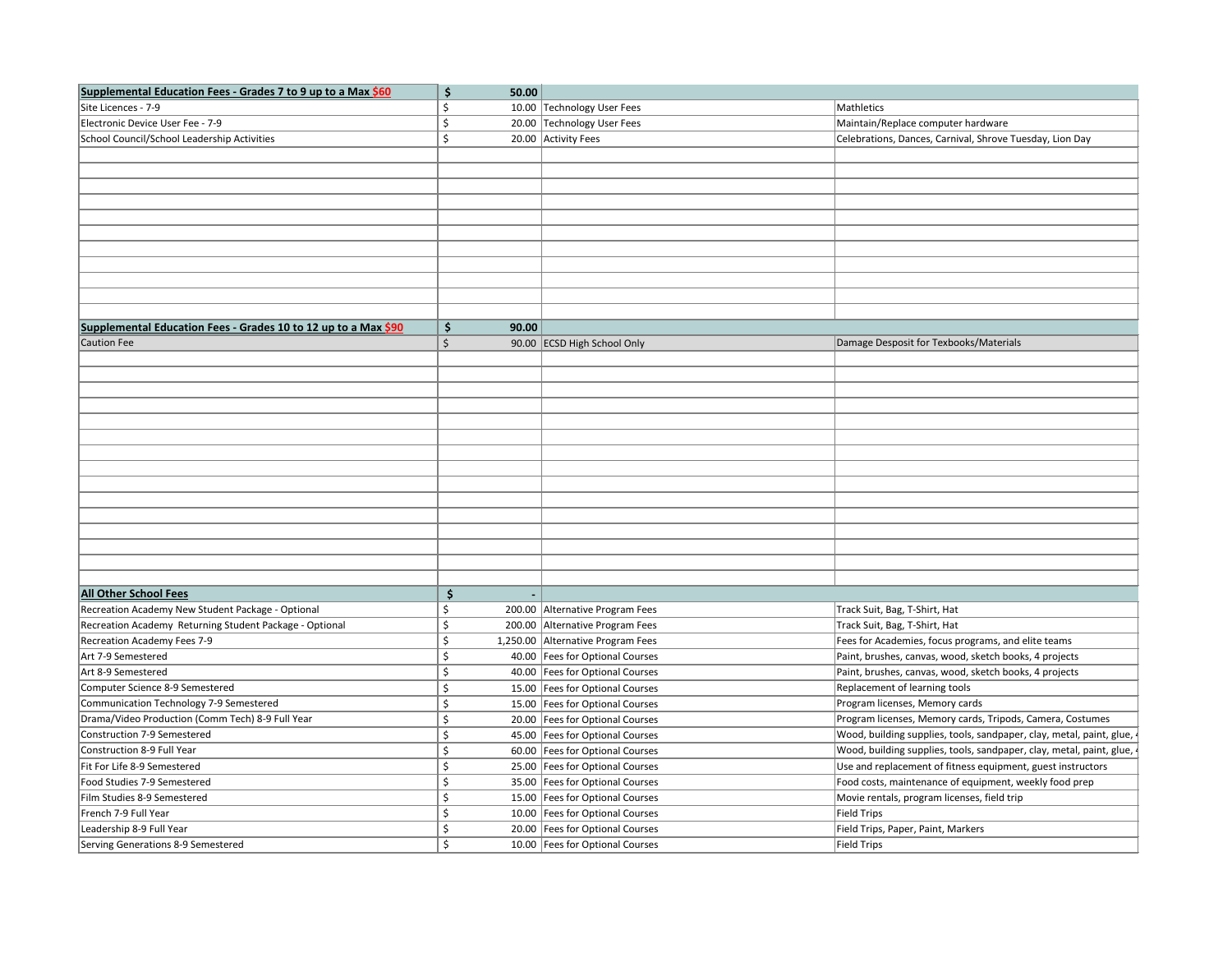| Supplemental Education Fees - Grades 7 to 9 up to a Max \$60   | \$<br>50.00        |                                   |                                                                      |
|----------------------------------------------------------------|--------------------|-----------------------------------|----------------------------------------------------------------------|
| Site Licences - 7-9                                            | Ś                  | 10.00 Technology User Fees        | Mathletics                                                           |
| Electronic Device User Fee - 7-9                               | \$<br>20.00        | Technology User Fees              | Maintain/Replace computer hardware                                   |
| School Council/School Leadership Activities                    | \$                 | 20.00 Activity Fees               | Celebrations, Dances, Carnival, Shrove Tuesday, Lion Day             |
|                                                                |                    |                                   |                                                                      |
|                                                                |                    |                                   |                                                                      |
|                                                                |                    |                                   |                                                                      |
|                                                                |                    |                                   |                                                                      |
|                                                                |                    |                                   |                                                                      |
|                                                                |                    |                                   |                                                                      |
|                                                                |                    |                                   |                                                                      |
|                                                                |                    |                                   |                                                                      |
|                                                                |                    |                                   |                                                                      |
|                                                                |                    |                                   |                                                                      |
|                                                                |                    |                                   |                                                                      |
| Supplemental Education Fees - Grades 10 to 12 up to a Max \$90 | \$<br>90.00        |                                   |                                                                      |
| <b>Caution Fee</b>                                             | $\mathsf{\hat{S}}$ | 90.00 ECSD High School Only       | Damage Desposit for Texbooks/Materials                               |
|                                                                |                    |                                   |                                                                      |
|                                                                |                    |                                   |                                                                      |
|                                                                |                    |                                   |                                                                      |
|                                                                |                    |                                   |                                                                      |
|                                                                |                    |                                   |                                                                      |
|                                                                |                    |                                   |                                                                      |
|                                                                |                    |                                   |                                                                      |
|                                                                |                    |                                   |                                                                      |
|                                                                |                    |                                   |                                                                      |
|                                                                |                    |                                   |                                                                      |
|                                                                |                    |                                   |                                                                      |
|                                                                |                    |                                   |                                                                      |
|                                                                |                    |                                   |                                                                      |
|                                                                |                    |                                   |                                                                      |
|                                                                |                    |                                   |                                                                      |
| <b>All Other School Fees</b>                                   | \$                 |                                   |                                                                      |
| Recreation Academy New Student Package - Optional              | \$                 | 200.00 Alternative Program Fees   | Track Suit, Bag, T-Shirt, Hat                                        |
| Recreation Academy Returning Student Package - Optional        | \$                 | 200.00 Alternative Program Fees   | Track Suit, Bag, T-Shirt, Hat                                        |
| Recreation Academy Fees 7-9                                    | \$                 | 1,250.00 Alternative Program Fees | Fees for Academies, focus programs, and elite teams                  |
| Art 7-9 Semestered                                             | Ś.                 | 40.00   Fees for Optional Courses | Paint, brushes, canvas, wood, sketch books, 4 projects               |
| Art 8-9 Semestered                                             | Ś.                 | 40.00   Fees for Optional Courses | Paint, brushes, canvas, wood, sketch books, 4 projects               |
| Computer Science 8-9 Semestered                                | \$                 | 15.00   Fees for Optional Courses | Replacement of learning tools                                        |
| Communication Technology 7-9 Semestered                        | \$                 | 15.00   Fees for Optional Courses | Program licenses, Memory cards                                       |
| Drama/Video Production (Comm Tech) 8-9 Full Year               | \$                 | 20.00   Fees for Optional Courses | Program licenses, Memory cards, Tripods, Camera, Costumes            |
| <b>Construction 7-9 Semestered</b>                             | \$                 | 45.00   Fees for Optional Courses | Wood, building supplies, tools, sandpaper, clay, metal, paint, glue, |
| Construction 8-9 Full Year                                     | Ś                  | 60.00   Fees for Optional Courses | Wood, building supplies, tools, sandpaper, clay, metal, paint, glue, |
| Fit For Life 8-9 Semestered                                    | \$                 | 25.00   Fees for Optional Courses | Use and replacement of fitness equipment, guest instructors          |
| Food Studies 7-9 Semestered                                    | \$                 | 35.00   Fees for Optional Courses | Food costs, maintenance of equipment, weekly food prep               |
| Film Studies 8-9 Semestered                                    | \$                 | 15.00   Fees for Optional Courses | Movie rentals, program licenses, field trip                          |
| French 7-9 Full Year                                           | \$                 | 10.00   Fees for Optional Courses | Field Trips                                                          |
| Leadership 8-9 Full Year                                       | \$                 | 20.00   Fees for Optional Courses | Field Trips, Paper, Paint, Markers                                   |
| Serving Generations 8-9 Semestered                             | $\zeta$            | 10.00   Fees for Optional Courses | Field Trips                                                          |